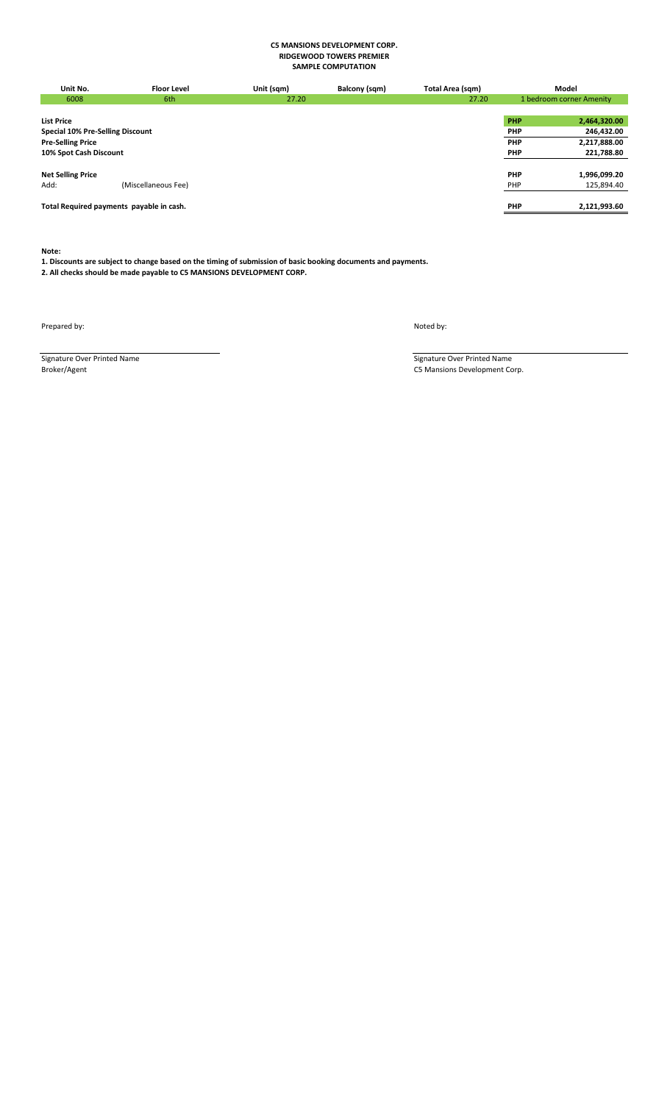| Unit No.                                 | <b>Floor Level</b>  | Unit (sqm) | Balcony (sqm) | Total Area (sqm) |            | Model                    |
|------------------------------------------|---------------------|------------|---------------|------------------|------------|--------------------------|
| 6008                                     | 6th                 | 27.20      |               | 27.20            |            | 1 bedroom corner Amenity |
|                                          |                     |            |               |                  |            |                          |
| <b>List Price</b>                        |                     |            |               |                  | PHP        | 2,464,320.00             |
| Special 10% Pre-Selling Discount         |                     |            |               |                  | PHP        | 246,432.00               |
| <b>Pre-Selling Price</b>                 |                     |            |               |                  | PHP        | 2,217,888.00             |
| 10% Spot Cash Discount                   |                     |            |               |                  | <b>PHP</b> | 221,788.80               |
|                                          |                     |            |               |                  |            |                          |
| <b>Net Selling Price</b>                 |                     |            |               |                  | <b>PHP</b> | 1,996,099.20             |
| Add:                                     | (Miscellaneous Fee) |            |               |                  | PHP        | 125,894.40               |
|                                          |                     |            |               |                  |            |                          |
| Total Required payments payable in cash. |                     |            |               |                  | <b>PHP</b> | 2,121,993.60             |
|                                          |                     |            |               |                  |            |                          |

**Note:**

## **1. Discounts are subject to change based on the timing of submission of basic booking documents and payments. 2. All checks should be made payable to C5 MANSIONS DEVELOPMENT CORP.**

Prepared by: Noted by:

Signature Over Printed Name Signature Over Printed Name Signature Over Printed Name Signature Over Printed Name Signature Over Printed Name C5 Mansions Development Co C5 Mansions Development Corp.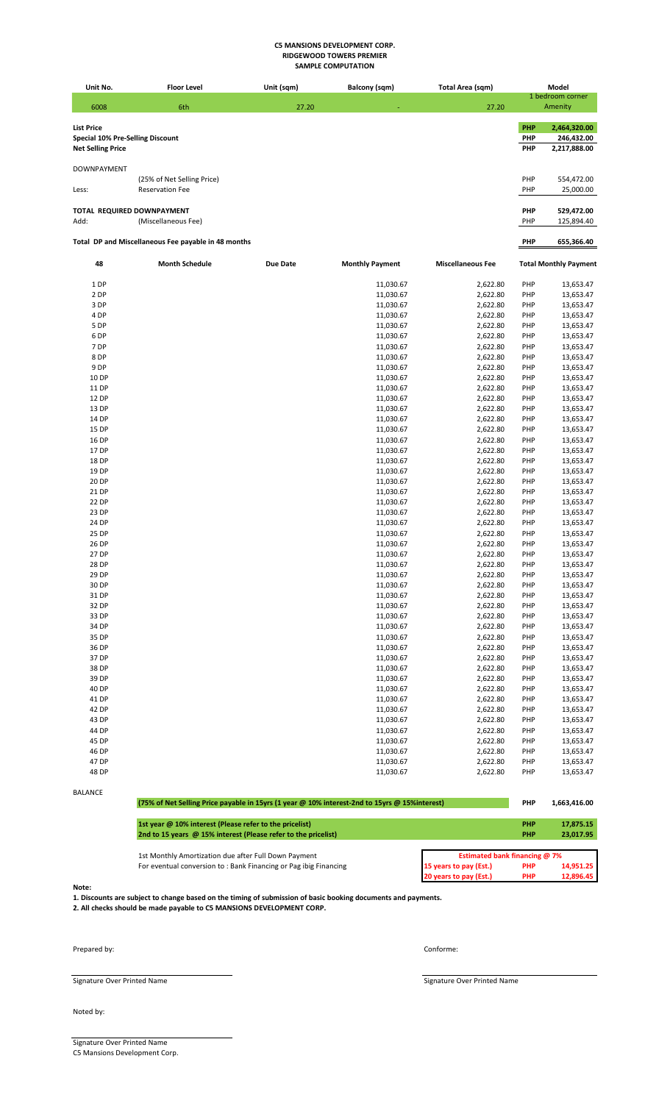| Unit No.<br><b>Floor Level</b><br>Unit (sqm)<br><b>Balcony (sqm)</b><br>Total Area (sqm)<br>Model<br>1 bedroom corner<br>6008<br>6th<br>27.20<br>27.20<br>Amenity<br><b>List Price</b><br>PHP<br>2,464,320.00<br>PHP<br>Special 10% Pre-Selling Discount<br>246,432.00<br>PHP<br>2,217,888.00<br><b>Net Selling Price</b><br><b>DOWNPAYMENT</b><br>PHP<br>(25% of Net Selling Price)<br>554,472.00<br><b>Reservation Fee</b><br>PHP<br>25,000.00<br>Less:<br>TOTAL REQUIRED DOWNPAYMENT<br>PHP<br>529,472.00<br>Add:<br>(Miscellaneous Fee)<br>PHP<br>125,894.40<br>Total DP and Miscellaneous Fee payable in 48 months<br><b>PHP</b><br>655,366.40<br><b>Month Schedule</b><br><b>Miscellaneous Fee</b><br>48<br>Due Date<br><b>Monthly Payment</b><br><b>Total Monthly Payment</b><br>PHP<br>1 DP<br>11,030.67<br>2,622.80<br>13,653.47<br>2 DP<br>11,030.67<br>2,622.80<br>PHP<br>13,653.47<br>3 DP<br>11,030.67<br>2,622.80<br>PHP<br>13,653.47<br>4 DP<br>11,030.67<br>2,622.80<br>PHP<br>13,653.47<br>5 DP<br>11,030.67<br>2,622.80<br>PHP<br>13,653.47<br>6 DP<br>13,653.47<br>11,030.67<br>2,622.80<br>PHP<br>7 DP<br>PHP<br>11,030.67<br>2,622.80<br>13,653.47<br>8 DP<br>PHP<br>11,030.67<br>2,622.80<br>13,653.47<br>9 DP<br>11,030.67<br>2,622.80<br>PHP<br>13,653.47<br>10 DP<br>PHP<br>11,030.67<br>2,622.80<br>13,653.47<br>11 DP<br>11,030.67<br>2,622.80<br>PHP<br>13,653.47<br>12 DP<br>PHP<br>11,030.67<br>2,622.80<br>13,653.47<br>13 DP<br>PHP<br>13,653.47<br>11,030.67<br>2,622.80<br>14 DP<br>2,622.80<br>PHP<br>13,653.47<br>11,030.67<br>PHP<br>15 DP<br>11,030.67<br>2,622.80<br>13,653.47<br>16 DP<br>11,030.67<br>2,622.80<br>PHP<br>13,653.47<br>PHP<br>17 DP<br>11,030.67<br>2,622.80<br>13,653.47<br>18 DP<br>11,030.67<br>2,622.80<br>PHP<br>13,653.47<br>19 DP<br>PHP<br>11,030.67<br>2,622.80<br>13,653.47<br>20 DP<br>11,030.67<br>2,622.80<br>PHP<br>13,653.47<br>21 DP<br>11,030.67<br>2,622.80<br>PHP<br>13,653.47<br>22 DP<br>PHP<br>11,030.67<br>2,622.80<br>13,653.47<br>23 DP<br>11,030.67<br>2,622.80<br>PHP<br>13,653.47<br>24 DP<br>11,030.67<br>2,622.80<br>PHP<br>13,653.47<br>25 DP<br>11,030.67<br>2,622.80<br>PHP<br>13,653.47<br>26 DP<br>11,030.67<br>2,622.80<br>PHP<br>13,653.47<br>27 DP<br>11,030.67<br>2,622.80<br>PHP<br>13,653.47<br>28 DP<br>11,030.67<br>2,622.80<br>PHP<br>13,653.47<br>29 DP<br>11,030.67<br>13,653.47<br>2,622.80<br>PHP<br>30 DP<br>11,030.67<br>2,622.80<br>13,653.47<br>PHP<br>31 DP<br>PHP<br>13,653.47<br>11,030.67<br>2,622.80<br>32 DP<br>13,653.47<br>11,030.67<br>2,622.80<br>PHP<br>33 DP<br>11,030.67<br>2,622.80<br>PHP<br>13,653.47<br>34 DP<br>PHP<br>11,030.67<br>2,622.80<br>13,653.47<br>35 DP<br>PHP<br>13,653.47<br>11,030.67<br>2,622.80<br>36 DP<br>PHP<br>13,653.47<br>11,030.67<br>2,622.80<br>37 DP<br>11,030.67<br>13,653.47<br>2,622.80<br>PHP<br>38 DP<br>PHP<br>11,030.67<br>2,622.80<br>13,653.47<br>39 DP<br>PHP<br>13,653.47<br>11,030.67<br>2,622.80<br>40 DP<br>11,030.67<br>2,622.80<br>PHP<br>13,653.47<br>41 DP<br>PHP<br>11,030.67<br>2,622.80<br>13,653.47<br>42 DP<br>11,030.67<br>2,622.80<br>PHP<br>13,653.47<br>43 DP<br>11,030.67<br>2,622.80<br>PHP<br>13,653.47<br>44 DP<br>11,030.67<br>2,622.80<br>13,653.47<br>PHP<br>45 DP<br>11,030.67<br>2,622.80<br>PHP<br>13,653.47<br>46 DP<br>11,030.67<br>2,622.80<br>PHP<br>13,653.47<br>47 DP<br>11,030.67<br>13,653.47<br>2,622.80<br>PHP<br>48 DP<br>11,030.67<br>PHP<br>2,622.80<br>13,653.47<br><b>BALANCE</b> |  | SAMPLE COMPUTATION |  |  |
|-----------------------------------------------------------------------------------------------------------------------------------------------------------------------------------------------------------------------------------------------------------------------------------------------------------------------------------------------------------------------------------------------------------------------------------------------------------------------------------------------------------------------------------------------------------------------------------------------------------------------------------------------------------------------------------------------------------------------------------------------------------------------------------------------------------------------------------------------------------------------------------------------------------------------------------------------------------------------------------------------------------------------------------------------------------------------------------------------------------------------------------------------------------------------------------------------------------------------------------------------------------------------------------------------------------------------------------------------------------------------------------------------------------------------------------------------------------------------------------------------------------------------------------------------------------------------------------------------------------------------------------------------------------------------------------------------------------------------------------------------------------------------------------------------------------------------------------------------------------------------------------------------------------------------------------------------------------------------------------------------------------------------------------------------------------------------------------------------------------------------------------------------------------------------------------------------------------------------------------------------------------------------------------------------------------------------------------------------------------------------------------------------------------------------------------------------------------------------------------------------------------------------------------------------------------------------------------------------------------------------------------------------------------------------------------------------------------------------------------------------------------------------------------------------------------------------------------------------------------------------------------------------------------------------------------------------------------------------------------------------------------------------------------------------------------------------------------------------------------------------------------------------------------------------------------------------------------------------------------------------------------------------------------------------------------------------------------------------------------------------------------------------------------------------------------------------------------------------------------------------|--|--------------------|--|--|
|                                                                                                                                                                                                                                                                                                                                                                                                                                                                                                                                                                                                                                                                                                                                                                                                                                                                                                                                                                                                                                                                                                                                                                                                                                                                                                                                                                                                                                                                                                                                                                                                                                                                                                                                                                                                                                                                                                                                                                                                                                                                                                                                                                                                                                                                                                                                                                                                                                                                                                                                                                                                                                                                                                                                                                                                                                                                                                                                                                                                                                                                                                                                                                                                                                                                                                                                                                                                                                                                                               |  |                    |  |  |
|                                                                                                                                                                                                                                                                                                                                                                                                                                                                                                                                                                                                                                                                                                                                                                                                                                                                                                                                                                                                                                                                                                                                                                                                                                                                                                                                                                                                                                                                                                                                                                                                                                                                                                                                                                                                                                                                                                                                                                                                                                                                                                                                                                                                                                                                                                                                                                                                                                                                                                                                                                                                                                                                                                                                                                                                                                                                                                                                                                                                                                                                                                                                                                                                                                                                                                                                                                                                                                                                                               |  |                    |  |  |
|                                                                                                                                                                                                                                                                                                                                                                                                                                                                                                                                                                                                                                                                                                                                                                                                                                                                                                                                                                                                                                                                                                                                                                                                                                                                                                                                                                                                                                                                                                                                                                                                                                                                                                                                                                                                                                                                                                                                                                                                                                                                                                                                                                                                                                                                                                                                                                                                                                                                                                                                                                                                                                                                                                                                                                                                                                                                                                                                                                                                                                                                                                                                                                                                                                                                                                                                                                                                                                                                                               |  |                    |  |  |
|                                                                                                                                                                                                                                                                                                                                                                                                                                                                                                                                                                                                                                                                                                                                                                                                                                                                                                                                                                                                                                                                                                                                                                                                                                                                                                                                                                                                                                                                                                                                                                                                                                                                                                                                                                                                                                                                                                                                                                                                                                                                                                                                                                                                                                                                                                                                                                                                                                                                                                                                                                                                                                                                                                                                                                                                                                                                                                                                                                                                                                                                                                                                                                                                                                                                                                                                                                                                                                                                                               |  |                    |  |  |
|                                                                                                                                                                                                                                                                                                                                                                                                                                                                                                                                                                                                                                                                                                                                                                                                                                                                                                                                                                                                                                                                                                                                                                                                                                                                                                                                                                                                                                                                                                                                                                                                                                                                                                                                                                                                                                                                                                                                                                                                                                                                                                                                                                                                                                                                                                                                                                                                                                                                                                                                                                                                                                                                                                                                                                                                                                                                                                                                                                                                                                                                                                                                                                                                                                                                                                                                                                                                                                                                                               |  |                    |  |  |
|                                                                                                                                                                                                                                                                                                                                                                                                                                                                                                                                                                                                                                                                                                                                                                                                                                                                                                                                                                                                                                                                                                                                                                                                                                                                                                                                                                                                                                                                                                                                                                                                                                                                                                                                                                                                                                                                                                                                                                                                                                                                                                                                                                                                                                                                                                                                                                                                                                                                                                                                                                                                                                                                                                                                                                                                                                                                                                                                                                                                                                                                                                                                                                                                                                                                                                                                                                                                                                                                                               |  |                    |  |  |
|                                                                                                                                                                                                                                                                                                                                                                                                                                                                                                                                                                                                                                                                                                                                                                                                                                                                                                                                                                                                                                                                                                                                                                                                                                                                                                                                                                                                                                                                                                                                                                                                                                                                                                                                                                                                                                                                                                                                                                                                                                                                                                                                                                                                                                                                                                                                                                                                                                                                                                                                                                                                                                                                                                                                                                                                                                                                                                                                                                                                                                                                                                                                                                                                                                                                                                                                                                                                                                                                                               |  |                    |  |  |
|                                                                                                                                                                                                                                                                                                                                                                                                                                                                                                                                                                                                                                                                                                                                                                                                                                                                                                                                                                                                                                                                                                                                                                                                                                                                                                                                                                                                                                                                                                                                                                                                                                                                                                                                                                                                                                                                                                                                                                                                                                                                                                                                                                                                                                                                                                                                                                                                                                                                                                                                                                                                                                                                                                                                                                                                                                                                                                                                                                                                                                                                                                                                                                                                                                                                                                                                                                                                                                                                                               |  |                    |  |  |
|                                                                                                                                                                                                                                                                                                                                                                                                                                                                                                                                                                                                                                                                                                                                                                                                                                                                                                                                                                                                                                                                                                                                                                                                                                                                                                                                                                                                                                                                                                                                                                                                                                                                                                                                                                                                                                                                                                                                                                                                                                                                                                                                                                                                                                                                                                                                                                                                                                                                                                                                                                                                                                                                                                                                                                                                                                                                                                                                                                                                                                                                                                                                                                                                                                                                                                                                                                                                                                                                                               |  |                    |  |  |
|                                                                                                                                                                                                                                                                                                                                                                                                                                                                                                                                                                                                                                                                                                                                                                                                                                                                                                                                                                                                                                                                                                                                                                                                                                                                                                                                                                                                                                                                                                                                                                                                                                                                                                                                                                                                                                                                                                                                                                                                                                                                                                                                                                                                                                                                                                                                                                                                                                                                                                                                                                                                                                                                                                                                                                                                                                                                                                                                                                                                                                                                                                                                                                                                                                                                                                                                                                                                                                                                                               |  |                    |  |  |
|                                                                                                                                                                                                                                                                                                                                                                                                                                                                                                                                                                                                                                                                                                                                                                                                                                                                                                                                                                                                                                                                                                                                                                                                                                                                                                                                                                                                                                                                                                                                                                                                                                                                                                                                                                                                                                                                                                                                                                                                                                                                                                                                                                                                                                                                                                                                                                                                                                                                                                                                                                                                                                                                                                                                                                                                                                                                                                                                                                                                                                                                                                                                                                                                                                                                                                                                                                                                                                                                                               |  |                    |  |  |
|                                                                                                                                                                                                                                                                                                                                                                                                                                                                                                                                                                                                                                                                                                                                                                                                                                                                                                                                                                                                                                                                                                                                                                                                                                                                                                                                                                                                                                                                                                                                                                                                                                                                                                                                                                                                                                                                                                                                                                                                                                                                                                                                                                                                                                                                                                                                                                                                                                                                                                                                                                                                                                                                                                                                                                                                                                                                                                                                                                                                                                                                                                                                                                                                                                                                                                                                                                                                                                                                                               |  |                    |  |  |
|                                                                                                                                                                                                                                                                                                                                                                                                                                                                                                                                                                                                                                                                                                                                                                                                                                                                                                                                                                                                                                                                                                                                                                                                                                                                                                                                                                                                                                                                                                                                                                                                                                                                                                                                                                                                                                                                                                                                                                                                                                                                                                                                                                                                                                                                                                                                                                                                                                                                                                                                                                                                                                                                                                                                                                                                                                                                                                                                                                                                                                                                                                                                                                                                                                                                                                                                                                                                                                                                                               |  |                    |  |  |
|                                                                                                                                                                                                                                                                                                                                                                                                                                                                                                                                                                                                                                                                                                                                                                                                                                                                                                                                                                                                                                                                                                                                                                                                                                                                                                                                                                                                                                                                                                                                                                                                                                                                                                                                                                                                                                                                                                                                                                                                                                                                                                                                                                                                                                                                                                                                                                                                                                                                                                                                                                                                                                                                                                                                                                                                                                                                                                                                                                                                                                                                                                                                                                                                                                                                                                                                                                                                                                                                                               |  |                    |  |  |
|                                                                                                                                                                                                                                                                                                                                                                                                                                                                                                                                                                                                                                                                                                                                                                                                                                                                                                                                                                                                                                                                                                                                                                                                                                                                                                                                                                                                                                                                                                                                                                                                                                                                                                                                                                                                                                                                                                                                                                                                                                                                                                                                                                                                                                                                                                                                                                                                                                                                                                                                                                                                                                                                                                                                                                                                                                                                                                                                                                                                                                                                                                                                                                                                                                                                                                                                                                                                                                                                                               |  |                    |  |  |
|                                                                                                                                                                                                                                                                                                                                                                                                                                                                                                                                                                                                                                                                                                                                                                                                                                                                                                                                                                                                                                                                                                                                                                                                                                                                                                                                                                                                                                                                                                                                                                                                                                                                                                                                                                                                                                                                                                                                                                                                                                                                                                                                                                                                                                                                                                                                                                                                                                                                                                                                                                                                                                                                                                                                                                                                                                                                                                                                                                                                                                                                                                                                                                                                                                                                                                                                                                                                                                                                                               |  |                    |  |  |
|                                                                                                                                                                                                                                                                                                                                                                                                                                                                                                                                                                                                                                                                                                                                                                                                                                                                                                                                                                                                                                                                                                                                                                                                                                                                                                                                                                                                                                                                                                                                                                                                                                                                                                                                                                                                                                                                                                                                                                                                                                                                                                                                                                                                                                                                                                                                                                                                                                                                                                                                                                                                                                                                                                                                                                                                                                                                                                                                                                                                                                                                                                                                                                                                                                                                                                                                                                                                                                                                                               |  |                    |  |  |
|                                                                                                                                                                                                                                                                                                                                                                                                                                                                                                                                                                                                                                                                                                                                                                                                                                                                                                                                                                                                                                                                                                                                                                                                                                                                                                                                                                                                                                                                                                                                                                                                                                                                                                                                                                                                                                                                                                                                                                                                                                                                                                                                                                                                                                                                                                                                                                                                                                                                                                                                                                                                                                                                                                                                                                                                                                                                                                                                                                                                                                                                                                                                                                                                                                                                                                                                                                                                                                                                                               |  |                    |  |  |
|                                                                                                                                                                                                                                                                                                                                                                                                                                                                                                                                                                                                                                                                                                                                                                                                                                                                                                                                                                                                                                                                                                                                                                                                                                                                                                                                                                                                                                                                                                                                                                                                                                                                                                                                                                                                                                                                                                                                                                                                                                                                                                                                                                                                                                                                                                                                                                                                                                                                                                                                                                                                                                                                                                                                                                                                                                                                                                                                                                                                                                                                                                                                                                                                                                                                                                                                                                                                                                                                                               |  |                    |  |  |
|                                                                                                                                                                                                                                                                                                                                                                                                                                                                                                                                                                                                                                                                                                                                                                                                                                                                                                                                                                                                                                                                                                                                                                                                                                                                                                                                                                                                                                                                                                                                                                                                                                                                                                                                                                                                                                                                                                                                                                                                                                                                                                                                                                                                                                                                                                                                                                                                                                                                                                                                                                                                                                                                                                                                                                                                                                                                                                                                                                                                                                                                                                                                                                                                                                                                                                                                                                                                                                                                                               |  |                    |  |  |
|                                                                                                                                                                                                                                                                                                                                                                                                                                                                                                                                                                                                                                                                                                                                                                                                                                                                                                                                                                                                                                                                                                                                                                                                                                                                                                                                                                                                                                                                                                                                                                                                                                                                                                                                                                                                                                                                                                                                                                                                                                                                                                                                                                                                                                                                                                                                                                                                                                                                                                                                                                                                                                                                                                                                                                                                                                                                                                                                                                                                                                                                                                                                                                                                                                                                                                                                                                                                                                                                                               |  |                    |  |  |
|                                                                                                                                                                                                                                                                                                                                                                                                                                                                                                                                                                                                                                                                                                                                                                                                                                                                                                                                                                                                                                                                                                                                                                                                                                                                                                                                                                                                                                                                                                                                                                                                                                                                                                                                                                                                                                                                                                                                                                                                                                                                                                                                                                                                                                                                                                                                                                                                                                                                                                                                                                                                                                                                                                                                                                                                                                                                                                                                                                                                                                                                                                                                                                                                                                                                                                                                                                                                                                                                                               |  |                    |  |  |
|                                                                                                                                                                                                                                                                                                                                                                                                                                                                                                                                                                                                                                                                                                                                                                                                                                                                                                                                                                                                                                                                                                                                                                                                                                                                                                                                                                                                                                                                                                                                                                                                                                                                                                                                                                                                                                                                                                                                                                                                                                                                                                                                                                                                                                                                                                                                                                                                                                                                                                                                                                                                                                                                                                                                                                                                                                                                                                                                                                                                                                                                                                                                                                                                                                                                                                                                                                                                                                                                                               |  |                    |  |  |
|                                                                                                                                                                                                                                                                                                                                                                                                                                                                                                                                                                                                                                                                                                                                                                                                                                                                                                                                                                                                                                                                                                                                                                                                                                                                                                                                                                                                                                                                                                                                                                                                                                                                                                                                                                                                                                                                                                                                                                                                                                                                                                                                                                                                                                                                                                                                                                                                                                                                                                                                                                                                                                                                                                                                                                                                                                                                                                                                                                                                                                                                                                                                                                                                                                                                                                                                                                                                                                                                                               |  |                    |  |  |
|                                                                                                                                                                                                                                                                                                                                                                                                                                                                                                                                                                                                                                                                                                                                                                                                                                                                                                                                                                                                                                                                                                                                                                                                                                                                                                                                                                                                                                                                                                                                                                                                                                                                                                                                                                                                                                                                                                                                                                                                                                                                                                                                                                                                                                                                                                                                                                                                                                                                                                                                                                                                                                                                                                                                                                                                                                                                                                                                                                                                                                                                                                                                                                                                                                                                                                                                                                                                                                                                                               |  |                    |  |  |
|                                                                                                                                                                                                                                                                                                                                                                                                                                                                                                                                                                                                                                                                                                                                                                                                                                                                                                                                                                                                                                                                                                                                                                                                                                                                                                                                                                                                                                                                                                                                                                                                                                                                                                                                                                                                                                                                                                                                                                                                                                                                                                                                                                                                                                                                                                                                                                                                                                                                                                                                                                                                                                                                                                                                                                                                                                                                                                                                                                                                                                                                                                                                                                                                                                                                                                                                                                                                                                                                                               |  |                    |  |  |
|                                                                                                                                                                                                                                                                                                                                                                                                                                                                                                                                                                                                                                                                                                                                                                                                                                                                                                                                                                                                                                                                                                                                                                                                                                                                                                                                                                                                                                                                                                                                                                                                                                                                                                                                                                                                                                                                                                                                                                                                                                                                                                                                                                                                                                                                                                                                                                                                                                                                                                                                                                                                                                                                                                                                                                                                                                                                                                                                                                                                                                                                                                                                                                                                                                                                                                                                                                                                                                                                                               |  |                    |  |  |
|                                                                                                                                                                                                                                                                                                                                                                                                                                                                                                                                                                                                                                                                                                                                                                                                                                                                                                                                                                                                                                                                                                                                                                                                                                                                                                                                                                                                                                                                                                                                                                                                                                                                                                                                                                                                                                                                                                                                                                                                                                                                                                                                                                                                                                                                                                                                                                                                                                                                                                                                                                                                                                                                                                                                                                                                                                                                                                                                                                                                                                                                                                                                                                                                                                                                                                                                                                                                                                                                                               |  |                    |  |  |
|                                                                                                                                                                                                                                                                                                                                                                                                                                                                                                                                                                                                                                                                                                                                                                                                                                                                                                                                                                                                                                                                                                                                                                                                                                                                                                                                                                                                                                                                                                                                                                                                                                                                                                                                                                                                                                                                                                                                                                                                                                                                                                                                                                                                                                                                                                                                                                                                                                                                                                                                                                                                                                                                                                                                                                                                                                                                                                                                                                                                                                                                                                                                                                                                                                                                                                                                                                                                                                                                                               |  |                    |  |  |
|                                                                                                                                                                                                                                                                                                                                                                                                                                                                                                                                                                                                                                                                                                                                                                                                                                                                                                                                                                                                                                                                                                                                                                                                                                                                                                                                                                                                                                                                                                                                                                                                                                                                                                                                                                                                                                                                                                                                                                                                                                                                                                                                                                                                                                                                                                                                                                                                                                                                                                                                                                                                                                                                                                                                                                                                                                                                                                                                                                                                                                                                                                                                                                                                                                                                                                                                                                                                                                                                                               |  |                    |  |  |
|                                                                                                                                                                                                                                                                                                                                                                                                                                                                                                                                                                                                                                                                                                                                                                                                                                                                                                                                                                                                                                                                                                                                                                                                                                                                                                                                                                                                                                                                                                                                                                                                                                                                                                                                                                                                                                                                                                                                                                                                                                                                                                                                                                                                                                                                                                                                                                                                                                                                                                                                                                                                                                                                                                                                                                                                                                                                                                                                                                                                                                                                                                                                                                                                                                                                                                                                                                                                                                                                                               |  |                    |  |  |
|                                                                                                                                                                                                                                                                                                                                                                                                                                                                                                                                                                                                                                                                                                                                                                                                                                                                                                                                                                                                                                                                                                                                                                                                                                                                                                                                                                                                                                                                                                                                                                                                                                                                                                                                                                                                                                                                                                                                                                                                                                                                                                                                                                                                                                                                                                                                                                                                                                                                                                                                                                                                                                                                                                                                                                                                                                                                                                                                                                                                                                                                                                                                                                                                                                                                                                                                                                                                                                                                                               |  |                    |  |  |
|                                                                                                                                                                                                                                                                                                                                                                                                                                                                                                                                                                                                                                                                                                                                                                                                                                                                                                                                                                                                                                                                                                                                                                                                                                                                                                                                                                                                                                                                                                                                                                                                                                                                                                                                                                                                                                                                                                                                                                                                                                                                                                                                                                                                                                                                                                                                                                                                                                                                                                                                                                                                                                                                                                                                                                                                                                                                                                                                                                                                                                                                                                                                                                                                                                                                                                                                                                                                                                                                                               |  |                    |  |  |
|                                                                                                                                                                                                                                                                                                                                                                                                                                                                                                                                                                                                                                                                                                                                                                                                                                                                                                                                                                                                                                                                                                                                                                                                                                                                                                                                                                                                                                                                                                                                                                                                                                                                                                                                                                                                                                                                                                                                                                                                                                                                                                                                                                                                                                                                                                                                                                                                                                                                                                                                                                                                                                                                                                                                                                                                                                                                                                                                                                                                                                                                                                                                                                                                                                                                                                                                                                                                                                                                                               |  |                    |  |  |
|                                                                                                                                                                                                                                                                                                                                                                                                                                                                                                                                                                                                                                                                                                                                                                                                                                                                                                                                                                                                                                                                                                                                                                                                                                                                                                                                                                                                                                                                                                                                                                                                                                                                                                                                                                                                                                                                                                                                                                                                                                                                                                                                                                                                                                                                                                                                                                                                                                                                                                                                                                                                                                                                                                                                                                                                                                                                                                                                                                                                                                                                                                                                                                                                                                                                                                                                                                                                                                                                                               |  |                    |  |  |
|                                                                                                                                                                                                                                                                                                                                                                                                                                                                                                                                                                                                                                                                                                                                                                                                                                                                                                                                                                                                                                                                                                                                                                                                                                                                                                                                                                                                                                                                                                                                                                                                                                                                                                                                                                                                                                                                                                                                                                                                                                                                                                                                                                                                                                                                                                                                                                                                                                                                                                                                                                                                                                                                                                                                                                                                                                                                                                                                                                                                                                                                                                                                                                                                                                                                                                                                                                                                                                                                                               |  |                    |  |  |
|                                                                                                                                                                                                                                                                                                                                                                                                                                                                                                                                                                                                                                                                                                                                                                                                                                                                                                                                                                                                                                                                                                                                                                                                                                                                                                                                                                                                                                                                                                                                                                                                                                                                                                                                                                                                                                                                                                                                                                                                                                                                                                                                                                                                                                                                                                                                                                                                                                                                                                                                                                                                                                                                                                                                                                                                                                                                                                                                                                                                                                                                                                                                                                                                                                                                                                                                                                                                                                                                                               |  |                    |  |  |
|                                                                                                                                                                                                                                                                                                                                                                                                                                                                                                                                                                                                                                                                                                                                                                                                                                                                                                                                                                                                                                                                                                                                                                                                                                                                                                                                                                                                                                                                                                                                                                                                                                                                                                                                                                                                                                                                                                                                                                                                                                                                                                                                                                                                                                                                                                                                                                                                                                                                                                                                                                                                                                                                                                                                                                                                                                                                                                                                                                                                                                                                                                                                                                                                                                                                                                                                                                                                                                                                                               |  |                    |  |  |
|                                                                                                                                                                                                                                                                                                                                                                                                                                                                                                                                                                                                                                                                                                                                                                                                                                                                                                                                                                                                                                                                                                                                                                                                                                                                                                                                                                                                                                                                                                                                                                                                                                                                                                                                                                                                                                                                                                                                                                                                                                                                                                                                                                                                                                                                                                                                                                                                                                                                                                                                                                                                                                                                                                                                                                                                                                                                                                                                                                                                                                                                                                                                                                                                                                                                                                                                                                                                                                                                                               |  |                    |  |  |
|                                                                                                                                                                                                                                                                                                                                                                                                                                                                                                                                                                                                                                                                                                                                                                                                                                                                                                                                                                                                                                                                                                                                                                                                                                                                                                                                                                                                                                                                                                                                                                                                                                                                                                                                                                                                                                                                                                                                                                                                                                                                                                                                                                                                                                                                                                                                                                                                                                                                                                                                                                                                                                                                                                                                                                                                                                                                                                                                                                                                                                                                                                                                                                                                                                                                                                                                                                                                                                                                                               |  |                    |  |  |
|                                                                                                                                                                                                                                                                                                                                                                                                                                                                                                                                                                                                                                                                                                                                                                                                                                                                                                                                                                                                                                                                                                                                                                                                                                                                                                                                                                                                                                                                                                                                                                                                                                                                                                                                                                                                                                                                                                                                                                                                                                                                                                                                                                                                                                                                                                                                                                                                                                                                                                                                                                                                                                                                                                                                                                                                                                                                                                                                                                                                                                                                                                                                                                                                                                                                                                                                                                                                                                                                                               |  |                    |  |  |
|                                                                                                                                                                                                                                                                                                                                                                                                                                                                                                                                                                                                                                                                                                                                                                                                                                                                                                                                                                                                                                                                                                                                                                                                                                                                                                                                                                                                                                                                                                                                                                                                                                                                                                                                                                                                                                                                                                                                                                                                                                                                                                                                                                                                                                                                                                                                                                                                                                                                                                                                                                                                                                                                                                                                                                                                                                                                                                                                                                                                                                                                                                                                                                                                                                                                                                                                                                                                                                                                                               |  |                    |  |  |
|                                                                                                                                                                                                                                                                                                                                                                                                                                                                                                                                                                                                                                                                                                                                                                                                                                                                                                                                                                                                                                                                                                                                                                                                                                                                                                                                                                                                                                                                                                                                                                                                                                                                                                                                                                                                                                                                                                                                                                                                                                                                                                                                                                                                                                                                                                                                                                                                                                                                                                                                                                                                                                                                                                                                                                                                                                                                                                                                                                                                                                                                                                                                                                                                                                                                                                                                                                                                                                                                                               |  |                    |  |  |
|                                                                                                                                                                                                                                                                                                                                                                                                                                                                                                                                                                                                                                                                                                                                                                                                                                                                                                                                                                                                                                                                                                                                                                                                                                                                                                                                                                                                                                                                                                                                                                                                                                                                                                                                                                                                                                                                                                                                                                                                                                                                                                                                                                                                                                                                                                                                                                                                                                                                                                                                                                                                                                                                                                                                                                                                                                                                                                                                                                                                                                                                                                                                                                                                                                                                                                                                                                                                                                                                                               |  |                    |  |  |
|                                                                                                                                                                                                                                                                                                                                                                                                                                                                                                                                                                                                                                                                                                                                                                                                                                                                                                                                                                                                                                                                                                                                                                                                                                                                                                                                                                                                                                                                                                                                                                                                                                                                                                                                                                                                                                                                                                                                                                                                                                                                                                                                                                                                                                                                                                                                                                                                                                                                                                                                                                                                                                                                                                                                                                                                                                                                                                                                                                                                                                                                                                                                                                                                                                                                                                                                                                                                                                                                                               |  |                    |  |  |
|                                                                                                                                                                                                                                                                                                                                                                                                                                                                                                                                                                                                                                                                                                                                                                                                                                                                                                                                                                                                                                                                                                                                                                                                                                                                                                                                                                                                                                                                                                                                                                                                                                                                                                                                                                                                                                                                                                                                                                                                                                                                                                                                                                                                                                                                                                                                                                                                                                                                                                                                                                                                                                                                                                                                                                                                                                                                                                                                                                                                                                                                                                                                                                                                                                                                                                                                                                                                                                                                                               |  |                    |  |  |
|                                                                                                                                                                                                                                                                                                                                                                                                                                                                                                                                                                                                                                                                                                                                                                                                                                                                                                                                                                                                                                                                                                                                                                                                                                                                                                                                                                                                                                                                                                                                                                                                                                                                                                                                                                                                                                                                                                                                                                                                                                                                                                                                                                                                                                                                                                                                                                                                                                                                                                                                                                                                                                                                                                                                                                                                                                                                                                                                                                                                                                                                                                                                                                                                                                                                                                                                                                                                                                                                                               |  |                    |  |  |
|                                                                                                                                                                                                                                                                                                                                                                                                                                                                                                                                                                                                                                                                                                                                                                                                                                                                                                                                                                                                                                                                                                                                                                                                                                                                                                                                                                                                                                                                                                                                                                                                                                                                                                                                                                                                                                                                                                                                                                                                                                                                                                                                                                                                                                                                                                                                                                                                                                                                                                                                                                                                                                                                                                                                                                                                                                                                                                                                                                                                                                                                                                                                                                                                                                                                                                                                                                                                                                                                                               |  |                    |  |  |
|                                                                                                                                                                                                                                                                                                                                                                                                                                                                                                                                                                                                                                                                                                                                                                                                                                                                                                                                                                                                                                                                                                                                                                                                                                                                                                                                                                                                                                                                                                                                                                                                                                                                                                                                                                                                                                                                                                                                                                                                                                                                                                                                                                                                                                                                                                                                                                                                                                                                                                                                                                                                                                                                                                                                                                                                                                                                                                                                                                                                                                                                                                                                                                                                                                                                                                                                                                                                                                                                                               |  |                    |  |  |
|                                                                                                                                                                                                                                                                                                                                                                                                                                                                                                                                                                                                                                                                                                                                                                                                                                                                                                                                                                                                                                                                                                                                                                                                                                                                                                                                                                                                                                                                                                                                                                                                                                                                                                                                                                                                                                                                                                                                                                                                                                                                                                                                                                                                                                                                                                                                                                                                                                                                                                                                                                                                                                                                                                                                                                                                                                                                                                                                                                                                                                                                                                                                                                                                                                                                                                                                                                                                                                                                                               |  |                    |  |  |
|                                                                                                                                                                                                                                                                                                                                                                                                                                                                                                                                                                                                                                                                                                                                                                                                                                                                                                                                                                                                                                                                                                                                                                                                                                                                                                                                                                                                                                                                                                                                                                                                                                                                                                                                                                                                                                                                                                                                                                                                                                                                                                                                                                                                                                                                                                                                                                                                                                                                                                                                                                                                                                                                                                                                                                                                                                                                                                                                                                                                                                                                                                                                                                                                                                                                                                                                                                                                                                                                                               |  |                    |  |  |
|                                                                                                                                                                                                                                                                                                                                                                                                                                                                                                                                                                                                                                                                                                                                                                                                                                                                                                                                                                                                                                                                                                                                                                                                                                                                                                                                                                                                                                                                                                                                                                                                                                                                                                                                                                                                                                                                                                                                                                                                                                                                                                                                                                                                                                                                                                                                                                                                                                                                                                                                                                                                                                                                                                                                                                                                                                                                                                                                                                                                                                                                                                                                                                                                                                                                                                                                                                                                                                                                                               |  |                    |  |  |
|                                                                                                                                                                                                                                                                                                                                                                                                                                                                                                                                                                                                                                                                                                                                                                                                                                                                                                                                                                                                                                                                                                                                                                                                                                                                                                                                                                                                                                                                                                                                                                                                                                                                                                                                                                                                                                                                                                                                                                                                                                                                                                                                                                                                                                                                                                                                                                                                                                                                                                                                                                                                                                                                                                                                                                                                                                                                                                                                                                                                                                                                                                                                                                                                                                                                                                                                                                                                                                                                                               |  |                    |  |  |
|                                                                                                                                                                                                                                                                                                                                                                                                                                                                                                                                                                                                                                                                                                                                                                                                                                                                                                                                                                                                                                                                                                                                                                                                                                                                                                                                                                                                                                                                                                                                                                                                                                                                                                                                                                                                                                                                                                                                                                                                                                                                                                                                                                                                                                                                                                                                                                                                                                                                                                                                                                                                                                                                                                                                                                                                                                                                                                                                                                                                                                                                                                                                                                                                                                                                                                                                                                                                                                                                                               |  |                    |  |  |
|                                                                                                                                                                                                                                                                                                                                                                                                                                                                                                                                                                                                                                                                                                                                                                                                                                                                                                                                                                                                                                                                                                                                                                                                                                                                                                                                                                                                                                                                                                                                                                                                                                                                                                                                                                                                                                                                                                                                                                                                                                                                                                                                                                                                                                                                                                                                                                                                                                                                                                                                                                                                                                                                                                                                                                                                                                                                                                                                                                                                                                                                                                                                                                                                                                                                                                                                                                                                                                                                                               |  |                    |  |  |
|                                                                                                                                                                                                                                                                                                                                                                                                                                                                                                                                                                                                                                                                                                                                                                                                                                                                                                                                                                                                                                                                                                                                                                                                                                                                                                                                                                                                                                                                                                                                                                                                                                                                                                                                                                                                                                                                                                                                                                                                                                                                                                                                                                                                                                                                                                                                                                                                                                                                                                                                                                                                                                                                                                                                                                                                                                                                                                                                                                                                                                                                                                                                                                                                                                                                                                                                                                                                                                                                                               |  |                    |  |  |
|                                                                                                                                                                                                                                                                                                                                                                                                                                                                                                                                                                                                                                                                                                                                                                                                                                                                                                                                                                                                                                                                                                                                                                                                                                                                                                                                                                                                                                                                                                                                                                                                                                                                                                                                                                                                                                                                                                                                                                                                                                                                                                                                                                                                                                                                                                                                                                                                                                                                                                                                                                                                                                                                                                                                                                                                                                                                                                                                                                                                                                                                                                                                                                                                                                                                                                                                                                                                                                                                                               |  |                    |  |  |
|                                                                                                                                                                                                                                                                                                                                                                                                                                                                                                                                                                                                                                                                                                                                                                                                                                                                                                                                                                                                                                                                                                                                                                                                                                                                                                                                                                                                                                                                                                                                                                                                                                                                                                                                                                                                                                                                                                                                                                                                                                                                                                                                                                                                                                                                                                                                                                                                                                                                                                                                                                                                                                                                                                                                                                                                                                                                                                                                                                                                                                                                                                                                                                                                                                                                                                                                                                                                                                                                                               |  |                    |  |  |
|                                                                                                                                                                                                                                                                                                                                                                                                                                                                                                                                                                                                                                                                                                                                                                                                                                                                                                                                                                                                                                                                                                                                                                                                                                                                                                                                                                                                                                                                                                                                                                                                                                                                                                                                                                                                                                                                                                                                                                                                                                                                                                                                                                                                                                                                                                                                                                                                                                                                                                                                                                                                                                                                                                                                                                                                                                                                                                                                                                                                                                                                                                                                                                                                                                                                                                                                                                                                                                                                                               |  |                    |  |  |
|                                                                                                                                                                                                                                                                                                                                                                                                                                                                                                                                                                                                                                                                                                                                                                                                                                                                                                                                                                                                                                                                                                                                                                                                                                                                                                                                                                                                                                                                                                                                                                                                                                                                                                                                                                                                                                                                                                                                                                                                                                                                                                                                                                                                                                                                                                                                                                                                                                                                                                                                                                                                                                                                                                                                                                                                                                                                                                                                                                                                                                                                                                                                                                                                                                                                                                                                                                                                                                                                                               |  |                    |  |  |
|                                                                                                                                                                                                                                                                                                                                                                                                                                                                                                                                                                                                                                                                                                                                                                                                                                                                                                                                                                                                                                                                                                                                                                                                                                                                                                                                                                                                                                                                                                                                                                                                                                                                                                                                                                                                                                                                                                                                                                                                                                                                                                                                                                                                                                                                                                                                                                                                                                                                                                                                                                                                                                                                                                                                                                                                                                                                                                                                                                                                                                                                                                                                                                                                                                                                                                                                                                                                                                                                                               |  |                    |  |  |
|                                                                                                                                                                                                                                                                                                                                                                                                                                                                                                                                                                                                                                                                                                                                                                                                                                                                                                                                                                                                                                                                                                                                                                                                                                                                                                                                                                                                                                                                                                                                                                                                                                                                                                                                                                                                                                                                                                                                                                                                                                                                                                                                                                                                                                                                                                                                                                                                                                                                                                                                                                                                                                                                                                                                                                                                                                                                                                                                                                                                                                                                                                                                                                                                                                                                                                                                                                                                                                                                                               |  |                    |  |  |
|                                                                                                                                                                                                                                                                                                                                                                                                                                                                                                                                                                                                                                                                                                                                                                                                                                                                                                                                                                                                                                                                                                                                                                                                                                                                                                                                                                                                                                                                                                                                                                                                                                                                                                                                                                                                                                                                                                                                                                                                                                                                                                                                                                                                                                                                                                                                                                                                                                                                                                                                                                                                                                                                                                                                                                                                                                                                                                                                                                                                                                                                                                                                                                                                                                                                                                                                                                                                                                                                                               |  |                    |  |  |

**(75% of Net Selling Price payable in 15yrs (1 year @ 10% interest-2nd to 15yrs @ 15%interest) PHP 1,663,416.00 1st year @ 10% interest (Please refer to the pricelist) PHP 17,875.15 2nd to 15 years @ 15% interest (Please refer to the pricelist) PHP 23,017.95** 1st Monthly Amortization due after Full Down Payment For eventual conversion to : Bank Financing or Pag ibig Financing **15 years to pay (Est.)** PHP **14,951.25**<br>**20 years to pay (Est.)** PHP **12,896.45 20 years to pay (Est.) Estimated bank financing @ 7%**

**Note:**

**1. Discounts are subject to change based on the timing of submission of basic booking documents and payments. 2. All checks should be made payable to C5 MANSIONS DEVELOPMENT CORP.**

Prepared by: Conforme:

Signature Over Printed Name **Signature Over Printed Name** Signature Over Printed Name

Noted by:

Signature Over Printed Name C5 Mansions Development Corp.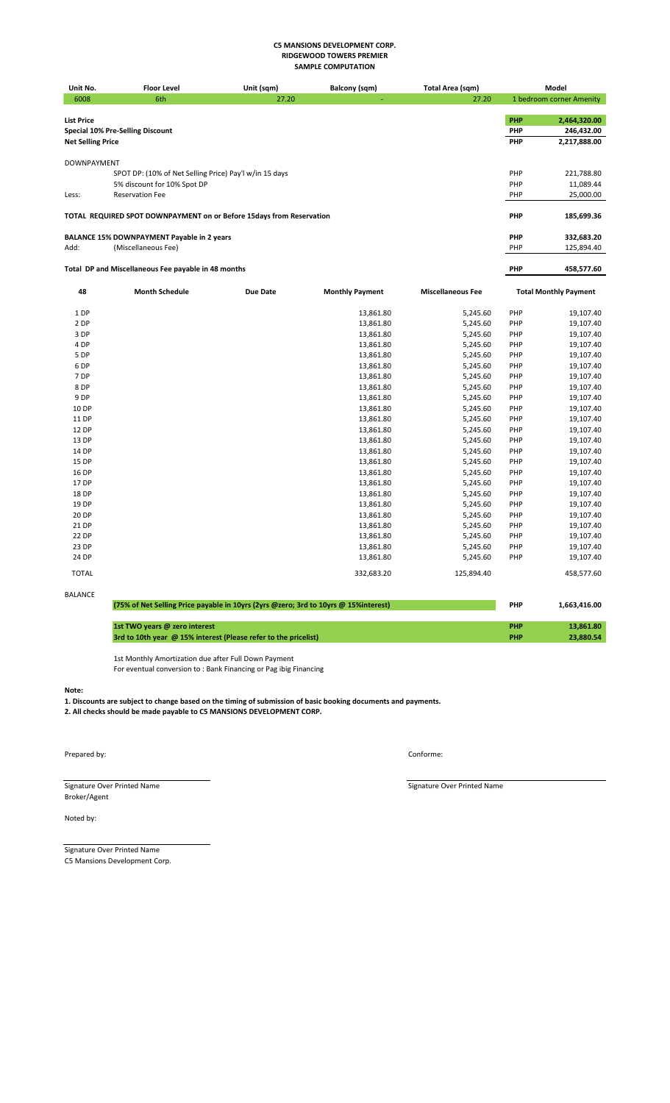| Unit No.                 | <b>Floor Level</b>                                                   | Unit (sqm) | Balcony (sqm)          | Total Area (sqm)         |            | Model                        |
|--------------------------|----------------------------------------------------------------------|------------|------------------------|--------------------------|------------|------------------------------|
| 6008                     | 6th                                                                  | 27.20      |                        | 27.20                    |            | 1 bedroom corner Amenity     |
|                          |                                                                      |            |                        |                          |            |                              |
| <b>List Price</b>        |                                                                      |            |                        |                          | <b>PHP</b> | 2,464,320.00                 |
|                          | <b>Special 10% Pre-Selling Discount</b>                              |            |                        |                          | <b>PHP</b> | 246,432.00                   |
| <b>Net Selling Price</b> |                                                                      |            |                        |                          | PHP        | 2,217,888.00                 |
|                          |                                                                      |            |                        |                          |            |                              |
| <b>DOWNPAYMENT</b>       |                                                                      |            |                        |                          |            |                              |
|                          | SPOT DP: (10% of Net Selling Price) Pay'l w/in 15 days               |            |                        |                          | PHP        | 221,788.80                   |
|                          | 5% discount for 10% Spot DP                                          |            |                        |                          | PHP        | 11,089.44                    |
| Less:                    | <b>Reservation Fee</b>                                               |            |                        |                          | PHP        | 25,000.00                    |
|                          |                                                                      |            |                        |                          |            |                              |
|                          | TOTAL REQUIRED SPOT DOWNPAYMENT on or Before 15days from Reservation |            |                        |                          | PHP        | 185,699.36                   |
|                          |                                                                      |            |                        |                          |            |                              |
|                          | <b>BALANCE 15% DOWNPAYMENT Payable in 2 years</b>                    |            |                        |                          | PHP        | 332,683.20                   |
| Add:                     | (Miscellaneous Fee)                                                  |            |                        |                          | PHP        | 125,894.40                   |
|                          |                                                                      |            |                        |                          |            |                              |
|                          | Total DP and Miscellaneous Fee payable in 48 months                  |            |                        |                          | PHP        | 458,577.60                   |
|                          |                                                                      |            |                        |                          |            |                              |
| 48                       | <b>Month Schedule</b>                                                | Due Date   | <b>Monthly Payment</b> | <b>Miscellaneous Fee</b> |            | <b>Total Monthly Payment</b> |
| 1 DP                     |                                                                      |            | 13,861.80              | 5,245.60                 | PHP        | 19,107.40                    |
| 2 DP                     |                                                                      |            | 13,861.80              | 5,245.60                 | PHP        | 19,107.40                    |
| $\sim$ $\sim$ $\sim$     |                                                                      |            | 1000100                | $   -$                   | $\sim$     | $\cdots$                     |

| 3 DP         | 13,861.80  | 5,245.60   | PHP | 19,107.40  |
|--------------|------------|------------|-----|------------|
| 4 DP         | 13,861.80  | 5,245.60   | PHP | 19,107.40  |
| 5 DP         | 13,861.80  | 5,245.60   | PHP | 19,107.40  |
| 6 DP         | 13,861.80  | 5,245.60   | PHP | 19,107.40  |
| 7 DP         | 13,861.80  | 5,245.60   | PHP | 19,107.40  |
| 8 DP         | 13,861.80  | 5,245.60   | PHP | 19,107.40  |
| 9 DP         | 13,861.80  | 5,245.60   | PHP | 19,107.40  |
| 10 DP        | 13,861.80  | 5,245.60   | PHP | 19,107.40  |
| 11 DP        | 13,861.80  | 5,245.60   | PHP | 19,107.40  |
| 12 DP        | 13,861.80  | 5,245.60   | PHP | 19,107.40  |
| 13 DP        | 13,861.80  | 5,245.60   | PHP | 19,107.40  |
| 14 DP        | 13,861.80  | 5,245.60   | PHP | 19,107.40  |
| 15 DP        | 13,861.80  | 5,245.60   | PHP | 19,107.40  |
| 16 DP        | 13,861.80  | 5,245.60   | PHP | 19,107.40  |
| 17 DP        | 13,861.80  | 5,245.60   | PHP | 19,107.40  |
| 18 DP        | 13,861.80  | 5,245.60   | PHP | 19,107.40  |
| 19 DP        | 13,861.80  | 5,245.60   | PHP | 19,107.40  |
| 20 DP        | 13,861.80  | 5,245.60   | PHP | 19,107.40  |
| 21 DP        | 13,861.80  | 5,245.60   | PHP | 19,107.40  |
| 22 DP        | 13,861.80  | 5,245.60   | PHP | 19,107.40  |
| 23 DP        | 13,861.80  | 5,245.60   | PHP | 19,107.40  |
| 24 DP        | 13,861.80  | 5,245.60   | PHP | 19,107.40  |
| <b>TOTAL</b> | 332,683.20 | 125,894.40 |     | 458,577.60 |
|              |            |            |     |            |

| BALANCE |                                                                                     |            |              |
|---------|-------------------------------------------------------------------------------------|------------|--------------|
|         | (75% of Net Selling Price payable in 10yrs (2yrs @zero; 3rd to 10yrs @ 15%interest) | <b>PHP</b> | 1.663.416.00 |
|         |                                                                                     |            |              |
|         | 1st TWO years @ zero interest                                                       | PHP        | 13.861.80    |
|         | 3rd to 10th year @ 15% interest (Please refer to the pricelist)                     | <b>PHP</b> | 23.880.54    |

1st Monthly Amortization due after Full Down Payment For eventual conversion to : Bank Financing or Pag ibig Financing

**Note:**

**1. Discounts are subject to change based on the timing of submission of basic booking documents and payments. 2. All checks should be made payable to C5 MANSIONS DEVELOPMENT CORP.**

Prepared by: Conforme:

Signature Over Printed Name **Signature Over Printed Name** Signature Over Printed Name Broker/Agent

Noted by:

Signature Over Printed Name C5 Mansions Development Corp.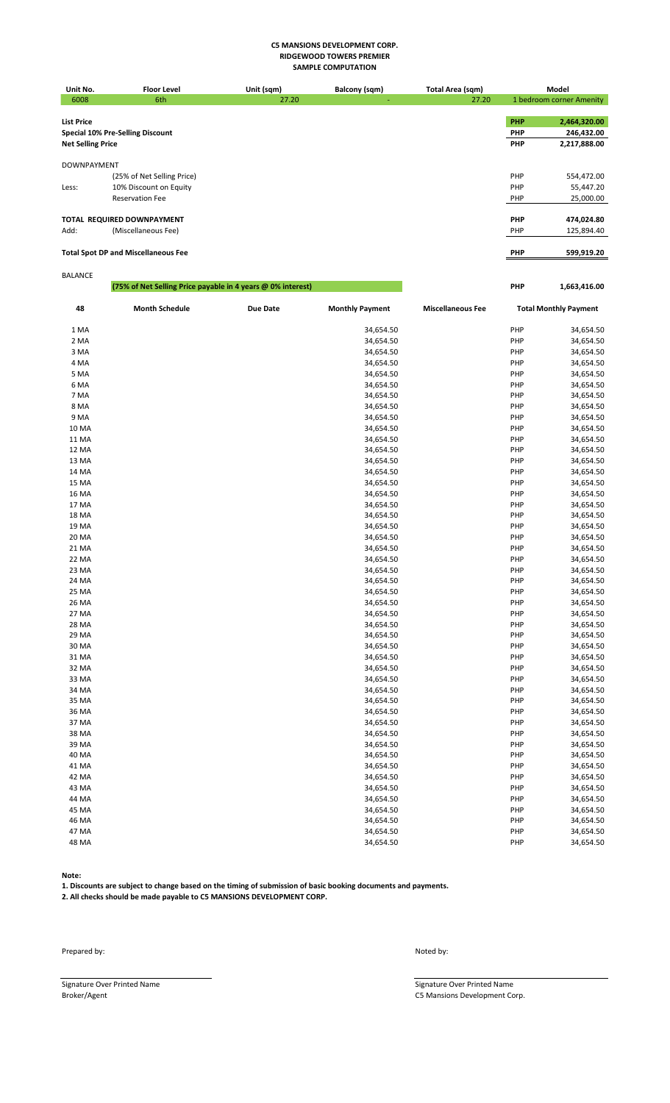| Unit No.                 | <b>Floor Level</b>                         | Unit (sqm) | Balcony (sqm) | Total Area (sqm) |            | Model                    |
|--------------------------|--------------------------------------------|------------|---------------|------------------|------------|--------------------------|
| 6008                     | 6th                                        | 27.20      |               | 27.20            |            | 1 bedroom corner Amenity |
|                          |                                            |            |               |                  |            |                          |
| <b>List Price</b>        |                                            |            |               |                  | PHP        | 2,464,320.00             |
|                          | <b>Special 10% Pre-Selling Discount</b>    |            |               |                  | PHP        | 246,432.00               |
| <b>Net Selling Price</b> |                                            |            |               |                  | PHP        | 2,217,888.00             |
|                          |                                            |            |               |                  |            |                          |
| <b>DOWNPAYMENT</b>       |                                            |            |               |                  |            |                          |
|                          | (25% of Net Selling Price)                 |            |               |                  | PHP        | 554,472.00               |
| Less:                    | 10% Discount on Equity                     |            |               |                  | PHP        | 55,447.20                |
|                          | <b>Reservation Fee</b>                     |            |               |                  | PHP        | 25,000.00                |
|                          |                                            |            |               |                  |            |                          |
|                          | TOTAL REQUIRED DOWNPAYMENT                 |            |               |                  | PHP        | 474,024.80               |
| Add:                     | (Miscellaneous Fee)                        |            |               |                  | PHP        | 125,894.40               |
|                          |                                            |            |               |                  |            |                          |
|                          | <b>Total Spot DP and Miscellaneous Fee</b> |            |               |                  | <b>PHP</b> | 599,919.20               |
|                          |                                            |            |               |                  |            |                          |
| <b>BALANCE</b>           |                                            |            |               |                  |            |                          |

| ,,,,,,,,,,   | (75% of Net Selling Price payable in 4 years @ 0% interest) |                 |                        |                          | PHP | 1,663,416.00                 |
|--------------|-------------------------------------------------------------|-----------------|------------------------|--------------------------|-----|------------------------------|
| 48           | <b>Month Schedule</b>                                       | <b>Due Date</b> | <b>Monthly Payment</b> | <b>Miscellaneous Fee</b> |     | <b>Total Monthly Payment</b> |
| 1 MA         |                                                             |                 | 34,654.50              |                          | PHP | 34,654.50                    |
| 2 MA         |                                                             |                 | 34,654.50              |                          | PHP | 34,654.50                    |
| 3 MA         |                                                             |                 | 34,654.50              |                          | PHP | 34,654.50                    |
| 4 MA         |                                                             |                 | 34,654.50              |                          | PHP | 34,654.50                    |
| 5 MA         |                                                             |                 | 34,654.50              |                          | PHP | 34,654.50                    |
| 6 MA         |                                                             |                 | 34,654.50              |                          | PHP | 34,654.50                    |
| 7 MA         |                                                             |                 | 34,654.50              |                          | PHP | 34,654.50                    |
| 8 MA         |                                                             |                 | 34,654.50              |                          | PHP | 34,654.50                    |
| 9 MA         |                                                             |                 | 34,654.50              |                          | PHP | 34,654.50                    |
| 10 MA        |                                                             |                 | 34,654.50              |                          | PHP | 34,654.50                    |
| 11 MA        |                                                             |                 | 34,654.50              |                          | PHP | 34,654.50                    |
| <b>12 MA</b> |                                                             |                 | 34,654.50              |                          | PHP | 34,654.50                    |
| 13 MA        |                                                             |                 | 34,654.50              |                          | PHP | 34,654.50                    |
| 14 MA        |                                                             |                 | 34,654.50              |                          | PHP | 34,654.50                    |
| 15 MA        |                                                             |                 | 34,654.50              |                          | PHP | 34,654.50                    |
| <b>16 MA</b> |                                                             |                 | 34,654.50              |                          | PHP | 34,654.50                    |
| 17 MA        |                                                             |                 | 34,654.50              |                          | PHP | 34,654.50                    |
| <b>18 MA</b> |                                                             |                 | 34,654.50              |                          | PHP | 34,654.50                    |
| 19 MA        |                                                             |                 | 34,654.50              |                          | PHP | 34,654.50                    |
| 20 MA        |                                                             |                 | 34,654.50              |                          | PHP | 34,654.50                    |
| 21 MA        |                                                             |                 | 34,654.50              |                          | PHP | 34,654.50                    |
| 22 MA        |                                                             |                 | 34,654.50              |                          | PHP | 34,654.50                    |
| 23 MA        |                                                             |                 | 34,654.50              |                          | PHP | 34,654.50                    |
| 24 MA        |                                                             |                 | 34,654.50              |                          | PHP | 34,654.50                    |
| 25 MA        |                                                             |                 | 34,654.50              |                          | PHP | 34,654.50                    |
| 26 MA        |                                                             |                 | 34,654.50              |                          | PHP | 34,654.50                    |
| 27 MA        |                                                             |                 | 34,654.50              |                          | PHP | 34,654.50                    |
| 28 MA        |                                                             |                 | 34,654.50              |                          | PHP | 34,654.50                    |
| 29 MA        |                                                             |                 | 34,654.50              |                          | PHP | 34,654.50                    |
| 30 MA        |                                                             |                 | 34,654.50              |                          | PHP | 34,654.50                    |
| 31 MA        |                                                             |                 | 34,654.50              |                          | PHP | 34,654.50                    |
| 32 MA        |                                                             |                 | 34,654.50              |                          | PHP | 34,654.50                    |
| 33 MA        |                                                             |                 | 34,654.50              |                          | PHP | 34,654.50                    |
| 34 MA        |                                                             |                 | 34,654.50              |                          | PHP | 34,654.50                    |
| 35 MA        |                                                             |                 | 34,654.50              |                          | PHP | 34,654.50                    |
| 36 MA        |                                                             |                 | 34,654.50              |                          | PHP | 34,654.50                    |
| 37 MA        |                                                             |                 | 34,654.50              |                          | PHP | 34,654.50                    |
| 38 MA        |                                                             |                 | 34,654.50              |                          | PHP | 34,654.50                    |
| 39 MA        |                                                             |                 | 34,654.50              |                          | PHP | 34,654.50                    |
| 40 MA        |                                                             |                 | 34,654.50              |                          | PHP | 34,654.50                    |
| 41 MA        |                                                             |                 | 34,654.50              |                          | PHP | 34,654.50                    |
| 42 MA        |                                                             |                 | 34,654.50              |                          | PHP | 34,654.50                    |
| 43 MA        |                                                             |                 | 34,654.50              |                          | PHP | 34,654.50                    |
| 44 MA        |                                                             |                 | 34,654.50              |                          | PHP | 34,654.50                    |
| 45 MA        |                                                             |                 | 34,654.50              |                          | PHP | 34,654.50                    |
| 46 MA        |                                                             |                 | 34,654.50              |                          | PHP | 34,654.50                    |
| 47 MA        |                                                             |                 | 34,654.50              |                          | PHP | 34,654.50                    |
| 48 MA        |                                                             |                 | 34,654.50              |                          | PHP | 34,654.50                    |

**Note:**

**1. Discounts are subject to change based on the timing of submission of basic booking documents and payments.**

**2. All checks should be made payable to C5 MANSIONS DEVELOPMENT CORP.**

Prepared by: Noted by:

Signature Over Printed Name<br>Broker/Agent Compared Name Signature Over Printed Name Signature Over Printed Name C5 Mansions Development Co

C5 Mansions Development Corp.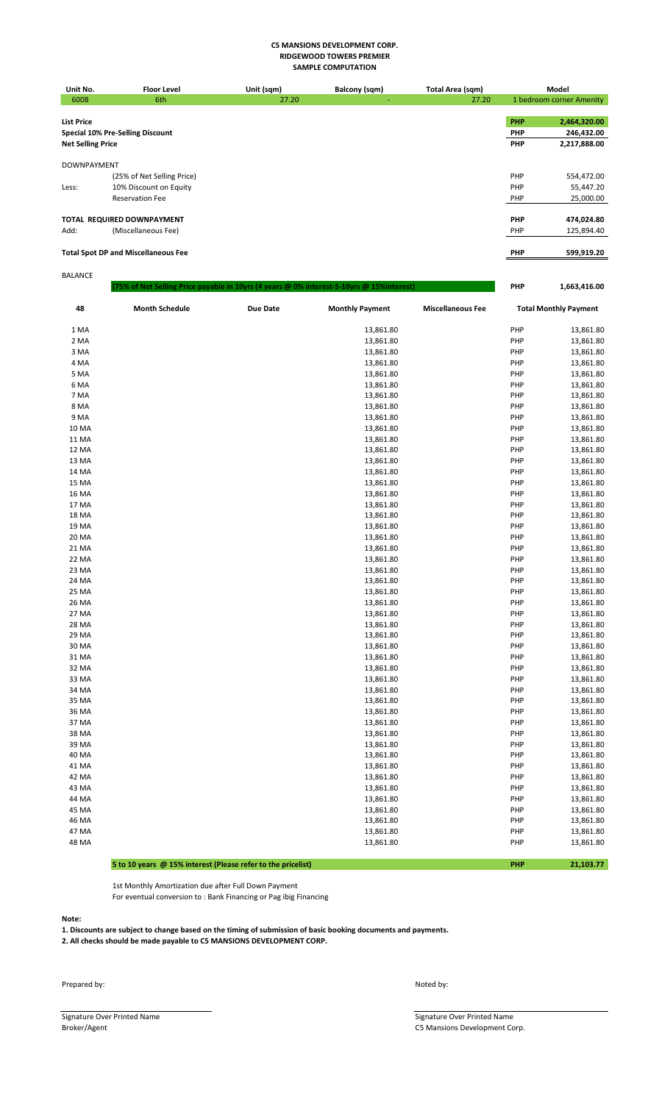| Unit No.                 | <b>Floor Level</b>                         | Unit (sqm)                                                                                | Balcony (sqm) | Total Area (sqm) |            | Model                    |
|--------------------------|--------------------------------------------|-------------------------------------------------------------------------------------------|---------------|------------------|------------|--------------------------|
| 6008                     | 6th                                        | 27.20                                                                                     |               | 27.20            |            | 1 bedroom corner Amenity |
|                          |                                            |                                                                                           |               |                  |            |                          |
| <b>List Price</b>        |                                            |                                                                                           |               |                  | <b>PHP</b> | 2,464,320.00             |
|                          | Special 10% Pre-Selling Discount           |                                                                                           |               |                  | <b>PHP</b> | 246,432.00               |
| <b>Net Selling Price</b> |                                            |                                                                                           |               |                  | <b>PHP</b> | 2,217,888.00             |
|                          |                                            |                                                                                           |               |                  |            |                          |
| <b>DOWNPAYMENT</b>       |                                            |                                                                                           |               |                  |            |                          |
|                          | (25% of Net Selling Price)                 |                                                                                           |               |                  | PHP        | 554,472.00               |
| Less:                    | 10% Discount on Equity                     |                                                                                           |               |                  | PHP        | 55,447.20                |
|                          | <b>Reservation Fee</b>                     |                                                                                           |               |                  | PHP        | 25,000.00                |
|                          |                                            |                                                                                           |               |                  |            |                          |
|                          | TOTAL REQUIRED DOWNPAYMENT                 |                                                                                           |               |                  | <b>PHP</b> | 474,024.80               |
| Add:                     | (Miscellaneous Fee)                        |                                                                                           |               |                  | PHP        | 125,894.40               |
|                          |                                            |                                                                                           |               |                  |            |                          |
|                          | <b>Total Spot DP and Miscellaneous Fee</b> |                                                                                           |               |                  | <b>PHP</b> | 599,919.20               |
|                          |                                            |                                                                                           |               |                  |            |                          |
| <b>BALANCE</b>           |                                            |                                                                                           |               |                  |            |                          |
|                          |                                            | (75% of Net Selling Price payable in 10yrs (4 years @ 0% interest-5-10yrs @ 15% interest) |               |                  | <b>PHP</b> | 1,663,416.00             |
|                          |                                            |                                                                                           |               |                  |            |                          |

| 48           | <b>Month Schedule</b> | <b>Due Date</b> | <b>Monthly Payment</b> | <b>Miscellaneous Fee</b> |            | <b>Total Monthly Payment</b> |
|--------------|-----------------------|-----------------|------------------------|--------------------------|------------|------------------------------|
| 1 MA         |                       |                 | 13,861.80              |                          | PHP        | 13,861.80                    |
| 2 MA         |                       |                 | 13,861.80              |                          | PHP        | 13,861.80                    |
| 3 MA         |                       |                 | 13,861.80              |                          | PHP        | 13,861.80                    |
| 4 MA         |                       |                 | 13,861.80              |                          | PHP        | 13,861.80                    |
| 5 MA         |                       |                 | 13,861.80              |                          | PHP        | 13,861.80                    |
| 6 MA         |                       |                 | 13,861.80              |                          | <b>PHP</b> | 13,861.80                    |
| 7 MA         |                       |                 | 13,861.80              |                          | PHP        | 13,861.80                    |
| 8 MA         |                       |                 | 13,861.80              |                          | PHP        | 13,861.80                    |
| 9 MA         |                       |                 | 13,861.80              |                          | PHP        | 13,861.80                    |
| 10 MA        |                       |                 | 13,861.80              |                          | PHP        | 13,861.80                    |
| 11 MA        |                       |                 | 13,861.80              |                          | PHP        | 13,861.80                    |
| 12 MA        |                       |                 | 13,861.80              |                          | <b>PHP</b> | 13,861.80                    |
| 13 MA        |                       |                 | 13,861.80              |                          | <b>PHP</b> | 13,861.80                    |
| 14 MA        |                       |                 | 13,861.80              |                          | PHP        | 13,861.80                    |
| 15 MA        |                       |                 | 13,861.80              |                          | PHP        | 13,861.80                    |
| <b>16 MA</b> |                       |                 | 13,861.80              |                          | PHP        | 13,861.80                    |
| 17 MA        |                       |                 | 13,861.80              |                          | PHP        | 13,861.80                    |
| <b>18 MA</b> |                       |                 | 13,861.80              |                          | PHP        | 13,861.80                    |
| 19 MA        |                       |                 | 13,861.80              |                          | PHP        | 13,861.80                    |
| 20 MA        |                       |                 | 13,861.80              |                          | PHP        | 13,861.80                    |
| 21 MA        |                       |                 | 13,861.80              |                          | PHP        | 13,861.80                    |
| 22 MA        |                       |                 | 13,861.80              |                          | PHP        | 13,861.80                    |
| 23 MA        |                       |                 | 13,861.80              |                          | PHP        | 13,861.80                    |
| 24 MA        |                       |                 | 13,861.80              |                          | <b>PHP</b> | 13,861.80                    |
| 25 MA        |                       |                 | 13,861.80              |                          | <b>PHP</b> | 13,861.80                    |
| 26 MA        |                       |                 | 13,861.80              |                          | PHP        | 13,861.80                    |
| 27 MA        |                       |                 | 13,861.80              |                          | PHP        | 13,861.80                    |
| 28 MA        |                       |                 | 13,861.80              |                          | PHP        | 13,861.80                    |
| 29 MA        |                       |                 | 13,861.80              |                          | PHP        | 13,861.80                    |
| 30 MA        |                       |                 | 13,861.80              |                          | PHP        | 13,861.80                    |
| 31 MA        |                       |                 | 13,861.80              |                          | PHP        | 13,861.80                    |
| 32 MA        |                       |                 | 13,861.80              |                          | PHP        | 13,861.80                    |
| 33 MA        |                       |                 | 13,861.80              |                          | PHP        | 13,861.80                    |
| 34 MA        |                       |                 | 13,861.80              |                          | PHP        | 13,861.80                    |
| 35 MA        |                       |                 | 13,861.80              |                          | PHP        | 13,861.80                    |
| 36 MA        |                       |                 | 13,861.80              |                          | PHP        | 13,861.80                    |
| 37 MA        |                       |                 | 13,861.80              |                          | PHP        | 13,861.80                    |
| 38 MA        |                       |                 | 13,861.80              |                          | <b>PHP</b> | 13,861.80                    |
| 39 MA        |                       |                 | 13,861.80              |                          | PHP        | 13,861.80                    |
| 40 MA        |                       |                 | 13,861.80              |                          | PHP        | 13,861.80                    |
| 41 MA        |                       |                 | 13,861.80              |                          | PHP        | 13,861.80                    |
| 42 MA        |                       |                 | 13,861.80              |                          | PHP        | 13,861.80                    |
| 43 MA        |                       |                 | 13,861.80              |                          | PHP        | 13,861.80                    |
| 44 MA        |                       |                 | 13,861.80              |                          | PHP        | 13,861.80                    |
| 45 MA        |                       |                 | 13,861.80              |                          | PHP        | 13,861.80                    |
| 46 MA        |                       |                 | 13,861.80              |                          | PHP        | 13,861.80                    |
| 47 MA        |                       |                 | 13,861.80              |                          | PHP        | 13,861.80                    |
| 48 MA        |                       |                 | 13,861.80              |                          | PHP        | 13,861.80                    |

# **5 to 10 years @ 15% interest (Please refer to the pricelist) PHP 21,103.77**

1st Monthly Amortization due after Full Down Payment

For eventual conversion to : Bank Financing or Pag ibig Financing

**Note:**

**1. Discounts are subject to change based on the timing of submission of basic booking documents and payments. 2. All checks should be made payable to C5 MANSIONS DEVELOPMENT CORP.**

Prepared by: Noted by:

Signature Over Printed Name Signature Over Printed Name Signature Over Printed Name Signature Over Printed Name Signature Over Printed Name Signature Over Printed Name Signature Over Printed Name Signature Over Printed Nam

C5 Mansions Development Corp.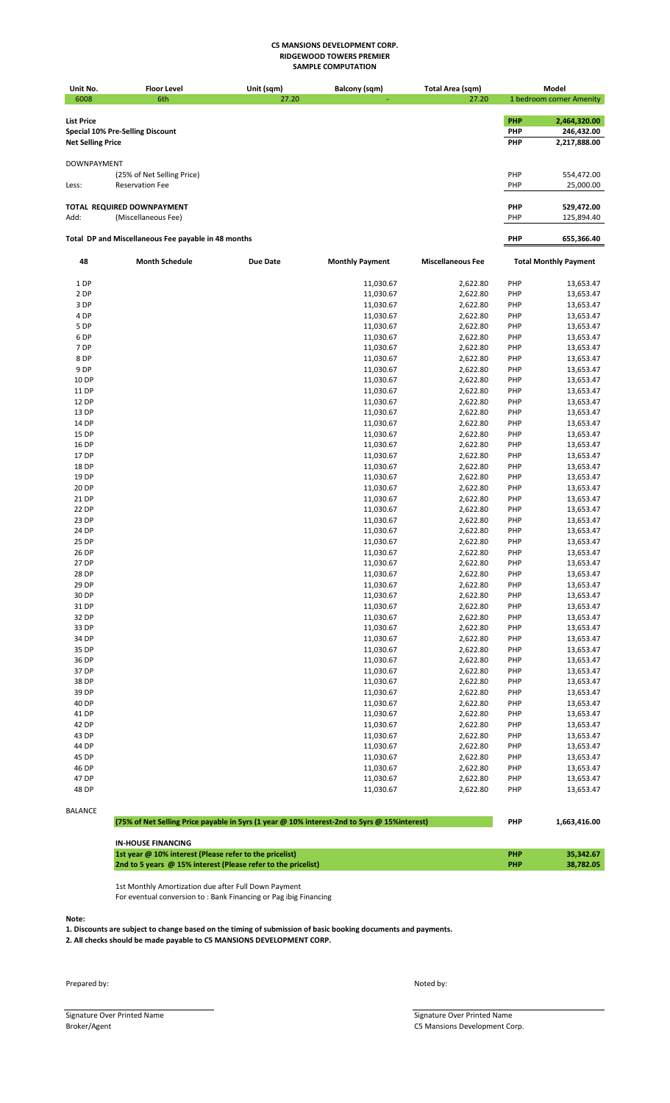| Unit No.                 | <b>Floor Level</b>                                  | Unit (sqm)      | <b>Balcony (sqm)</b>   | Total Area (sqm)         |                          | Model                        |
|--------------------------|-----------------------------------------------------|-----------------|------------------------|--------------------------|--------------------------|------------------------------|
| 6008                     | 6th                                                 | 27.20           |                        | 27.20                    |                          | 1 bedroom corner Amenity     |
|                          |                                                     |                 |                        |                          |                          |                              |
| <b>List Price</b>        |                                                     |                 |                        |                          | <b>PHP</b><br><b>PHP</b> | 2,464,320.00                 |
| <b>Net Selling Price</b> | <b>Special 10% Pre-Selling Discount</b>             |                 |                        |                          | PHP                      | 246,432.00<br>2,217,888.00   |
|                          |                                                     |                 |                        |                          |                          |                              |
| <b>DOWNPAYMENT</b>       |                                                     |                 |                        |                          |                          |                              |
|                          | (25% of Net Selling Price)                          |                 |                        |                          | PHP                      | 554,472.00                   |
| Less:                    | <b>Reservation Fee</b>                              |                 |                        |                          | PHP                      | 25,000.00                    |
|                          |                                                     |                 |                        |                          |                          |                              |
|                          | TOTAL REQUIRED DOWNPAYMENT                          |                 |                        |                          | <b>PHP</b>               | 529,472.00                   |
| Add:                     | (Miscellaneous Fee)                                 |                 |                        |                          | PHP                      | 125,894.40                   |
|                          | Total DP and Miscellaneous Fee payable in 48 months |                 |                        |                          | PHP                      | 655,366.40                   |
|                          |                                                     |                 |                        |                          |                          |                              |
| 48                       | <b>Month Schedule</b>                               | <b>Due Date</b> | <b>Monthly Payment</b> | <b>Miscellaneous Fee</b> |                          | <b>Total Monthly Payment</b> |
| 1 DP                     |                                                     |                 | 11,030.67              | 2,622.80                 | PHP                      | 13,653.47                    |
| 2 DP                     |                                                     |                 | 11,030.67              | 2,622.80                 | PHP                      | 13,653.47                    |
| 3 DP                     |                                                     |                 | 11,030.67              | 2,622.80                 | PHP                      | 13,653.47                    |
| 4 DP                     |                                                     |                 | 11,030.67              | 2,622.80                 | PHP                      | 13,653.47                    |
| 5 DP                     |                                                     |                 | 11,030.67              | 2,622.80                 | PHP                      | 13,653.47                    |
| 6 DP                     |                                                     |                 | 11,030.67              | 2,622.80                 | PHP                      | 13,653.47                    |
| 7 DP                     |                                                     |                 | 11,030.67              | 2,622.80                 | PHP                      | 13,653.47                    |
| 8 DP<br>9 DP             |                                                     |                 | 11,030.67<br>11,030.67 | 2,622.80<br>2,622.80     | PHP<br>PHP               | 13,653.47<br>13,653.47       |
| 10 DP                    |                                                     |                 | 11,030.67              | 2,622.80                 | PHP                      | 13,653.47                    |
| 11 DP                    |                                                     |                 | 11,030.67              | 2,622.80                 | PHP                      | 13,653.47                    |
| 12 DP                    |                                                     |                 | 11,030.67              | 2,622.80                 | PHP                      | 13,653.47                    |
| 13 DP                    |                                                     |                 | 11,030.67              | 2,622.80                 | PHP                      | 13,653.47                    |
| 14 DP                    |                                                     |                 | 11,030.67              | 2,622.80                 | PHP                      | 13,653.47                    |
| 15 DP                    |                                                     |                 | 11,030.67              | 2,622.80                 | PHP                      | 13,653.47                    |
| 16 DP                    |                                                     |                 | 11,030.67              | 2,622.80                 | PHP                      | 13,653.47                    |
| 17 DP                    |                                                     |                 | 11,030.67              | 2,622.80                 | PHP                      | 13,653.47                    |
| 18 DP                    |                                                     |                 | 11,030.67              | 2,622.80                 | PHP                      | 13,653.47                    |
| 19 DP                    |                                                     |                 | 11,030.67              | 2,622.80                 | PHP                      | 13,653.47                    |
| 20 DP                    |                                                     |                 | 11,030.67              | 2,622.80                 | PHP                      | 13,653.47                    |
| 21 DP                    |                                                     |                 | 11,030.67              | 2,622.80                 | PHP                      | 13,653.47                    |
| 22 DP                    |                                                     |                 | 11,030.67              | 2,622.80                 | PHP                      | 13,653.47                    |
| 23 DP<br>24 DP           |                                                     |                 | 11,030.67<br>11,030.67 | 2,622.80<br>2,622.80     | PHP<br>PHP               | 13,653.47<br>13,653.47       |
| 25 DP                    |                                                     |                 | 11,030.67              | 2,622.80                 | PHP                      | 13,653.47                    |
| 26 DP                    |                                                     |                 | 11,030.67              | 2,622.80                 | PHP                      | 13,653.47                    |
| 27 DP                    |                                                     |                 | 11,030.67              | 2,622.80                 | PHP                      | 13,653.47                    |
| 28 DP                    |                                                     |                 | 11,030.67              | 2,622.80                 | PHP                      | 13,653.47                    |
| 29 DP                    |                                                     |                 | 11,030.67              | 2,622.80                 | PHP                      | 13,653.47                    |
| 30 DP                    |                                                     |                 | 11,030.67              | 2,622.80                 | PHP                      | 13,653.47                    |
| 31 DP                    |                                                     |                 | 11,030.67              | 2,622.80                 | PHP                      | 13,653.47                    |
| 32 DP                    |                                                     |                 | 11,030.67              | 2,622.80                 | PHP                      | 13,653.47                    |
| 33 DP                    |                                                     |                 | 11,030.67              | 2,622.80                 | PHP                      | 13,653.47                    |
| 34 DP                    |                                                     |                 | 11,030.67              | 2,622.80                 | PHP                      | 13,653.47                    |
| 35 DP                    |                                                     |                 | 11,030.67              | 2,622.80                 | PHP                      | 13,653.47                    |
| 36 DP                    |                                                     |                 | 11,030.67              | 2,622.80                 | PHP                      | 13,653.47                    |
| 37 DP<br>38 DP           |                                                     |                 | 11,030.67              | 2,622.80                 | PHP                      | 13,653.47                    |
| 39 DP                    |                                                     |                 | 11,030.67              | 2,622.80<br>2,622.80     | PHP                      | 13,653.47                    |
| 40 DP                    |                                                     |                 | 11,030.67<br>11,030.67 | 2,622.80                 | PHP<br>PHP               | 13,653.47<br>13,653.47       |
| 41 DP                    |                                                     |                 | 11,030.67              | 2,622.80                 | PHP                      | 13,653.47                    |
| 42 DP                    |                                                     |                 | 11,030.67              | 2,622.80                 | PHP                      | 13,653.47                    |
| 43 DP                    |                                                     |                 | 11,030.67              | 2,622.80                 | PHP                      | 13,653.47                    |
| 44 DP                    |                                                     |                 | 11,030.67              | 2,622.80                 | PHP                      | 13,653.47                    |
| 45 DP                    |                                                     |                 | 11,030.67              | 2,622.80                 | PHP                      | 13,653.47                    |
| 46 DP                    |                                                     |                 | 11,030.67              | 2,622.80                 | PHP                      | 13,653.47                    |
| 47 DP                    |                                                     |                 | 11,030.67              | 2,622.80                 | PHP                      | 13,653.47                    |
| 48 DP                    |                                                     |                 | 11,030.67              | 2,622.80                 | PHP                      | 13,653.47                    |
|                          |                                                     |                 |                        |                          |                          |                              |

BALANCE

| (75% of Net Selling Price payable in 5yrs (1 year @ 10% interest-2nd to 5yrs @ 15% interest) | <b>PHP</b> | 1.663.416.00 |
|----------------------------------------------------------------------------------------------|------------|--------------|
| <b>IN-HOUSE FINANCING</b>                                                                    |            |              |
| 1st year @ 10% interest (Please refer to the pricelist)                                      | <b>PHP</b> | 35.342.67    |
| 2nd to 5 years @ 15% interest (Please refer to the pricelist)                                | <b>PHP</b> | 38.782.05    |

1st Monthly Amortization due after Full Down Payment

For eventual conversion to : Bank Financing or Pag ibig Financing

**Note:**

**1. Discounts are subject to change based on the timing of submission of basic booking documents and payments.**

**2. All checks should be made payable to C5 MANSIONS DEVELOPMENT CORP.**

Prepared by: Noted by:

Signature Over Printed Name<br>Broker/Agent C5 Mansions Development Cc

C5 Mansions Development Corp.